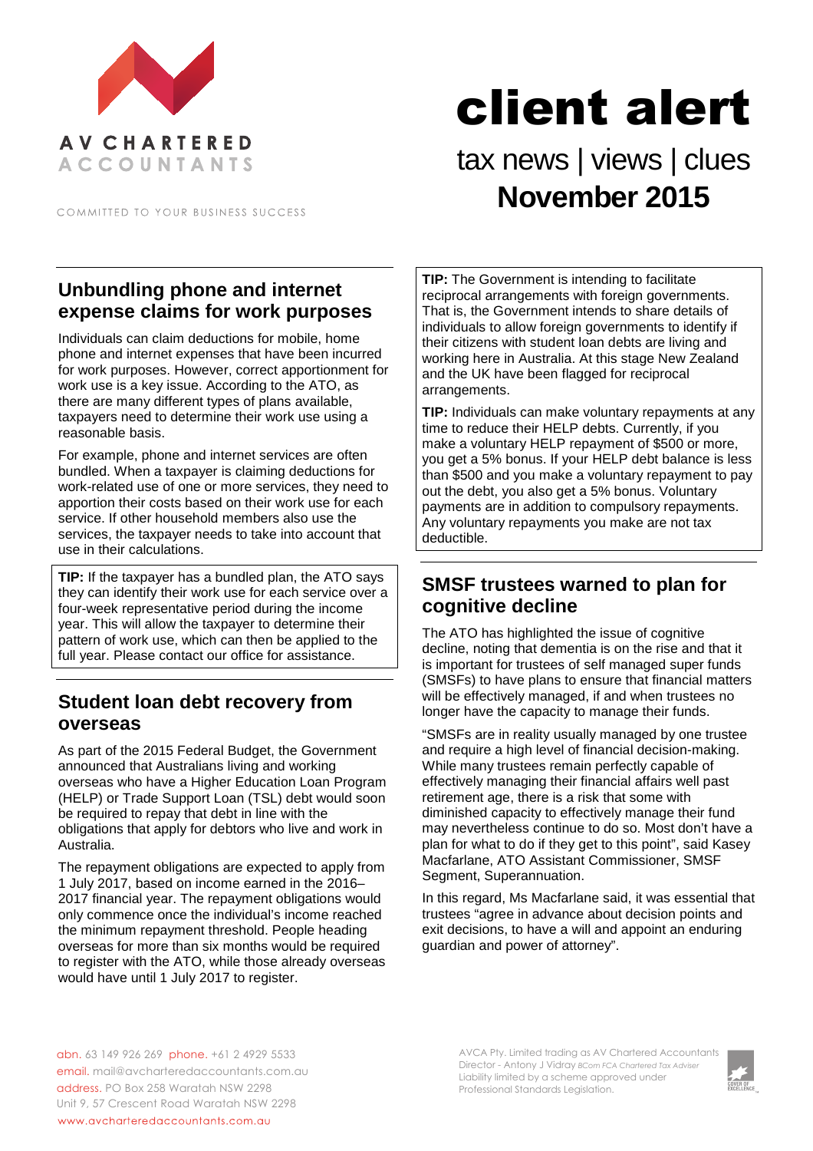

COMMITTED TO YOUR BUSINESS SUCCESS

# client alert

# tax news | views | clues **November 2015**

#### **Unbundling phone and internet expense claims for work purposes**

Individuals can claim deductions for mobile, home phone and internet expenses that have been incurred for work purposes. However, correct apportionment for work use is a key issue. According to the ATO, as there are many different types of plans available, taxpayers need to determine their work use using a reasonable basis.

For example, phone and internet services are often bundled. When a taxpayer is claiming deductions for work-related use of one or more services, they need to apportion their costs based on their work use for each service. If other household members also use the services, the taxpayer needs to take into account that use in their calculations.

**TIP:** If the taxpayer has a bundled plan, the ATO says they can identify their work use for each service over a four-week representative period during the income year. This will allow the taxpayer to determine their pattern of work use, which can then be applied to the full year. Please contact our office for assistance.

## **Student loan debt recovery from overseas**

As part of the 2015 Federal Budget, the Government announced that Australians living and working overseas who have a Higher Education Loan Program (HELP) or Trade Support Loan (TSL) debt would soon be required to repay that debt in line with the obligations that apply for debtors who live and work in Australia.

The repayment obligations are expected to apply from 1 July 2017, based on income earned in the 2016– 2017 financial year. The repayment obligations would only commence once the individual's income reached the minimum repayment threshold. People heading overseas for more than six months would be required to register with the ATO, while those already overseas would have until 1 July 2017 to register.

**TIP:** The Government is intending to facilitate reciprocal arrangements with foreign governments. That is, the Government intends to share details of individuals to allow foreign governments to identify if their citizens with student loan debts are living and working here in Australia. At this stage New Zealand and the UK have been flagged for reciprocal arrangements.

**TIP:** Individuals can make voluntary repayments at any time to reduce their HELP debts. Currently, if you make a voluntary HELP repayment of \$500 or more, you get a 5% bonus. If your HELP debt balance is less than \$500 and you make a voluntary repayment to pay out the debt, you also get a 5% bonus. Voluntary payments are in addition to compulsory repayments. Any voluntary repayments you make are not tax deductible.

#### **SMSF trustees warned to plan for cognitive decline**

The ATO has highlighted the issue of cognitive decline, noting that dementia is on the rise and that it is important for trustees of self managed super funds (SMSFs) to have plans to ensure that financial matters will be effectively managed, if and when trustees no longer have the capacity to manage their funds.

"SMSFs are in reality usually managed by one trustee and require a high level of financial decision-making. While many trustees remain perfectly capable of effectively managing their financial affairs well past retirement age, there is a risk that some with diminished capacity to effectively manage their fund may nevertheless continue to do so. Most don't have a plan for what to do if they get to this point", said Kasey Macfarlane, ATO Assistant Commissioner, SMSF Segment, Superannuation.

In this regard, Ms Macfarlane said, it was essential that trustees "agree in advance about decision points and exit decisions, to have a will and appoint an enduring guardian and power of attorney".

abn. 63 149 926 269 phone. +61 2 4929 5533 email. mail@avcharteredaccountants.com.au address. PO Box 258 Waratah NSW 2298 Unit 9, 57 Crescent Road Waratah NSW 2298 www.avcharteredaccountants.com.au

AVCA Pty. Limited trading as AV Chartered Accountants Director - Antony J Vidray *BCom FCA Chartered Tax Adviser* Liability limited by a scheme approved under Professional Standards Legislation.